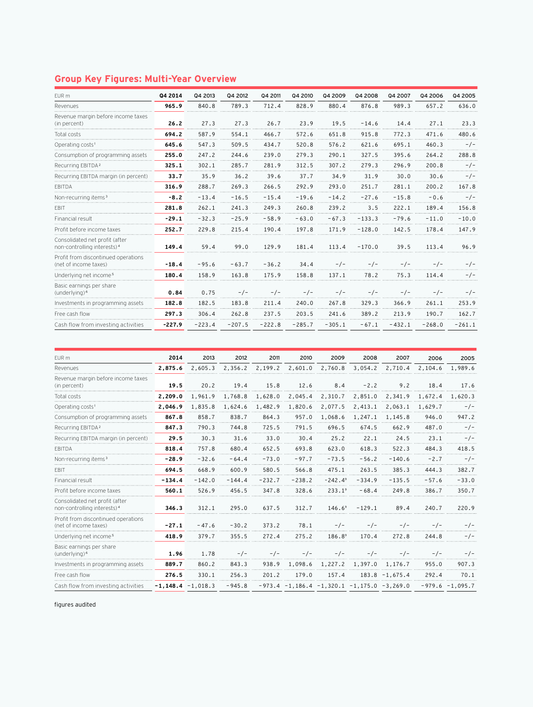## **Group Key Figures: Multi-Year Overview**

| EUR m                                                                     | Q4 2014  | Q4 2013  | Q4 2012  | Q4 2011  | Q4 2010  | Q4 2009  | 04 2008  | Q4 2007  | 04 2006  | 04 2005  |
|---------------------------------------------------------------------------|----------|----------|----------|----------|----------|----------|----------|----------|----------|----------|
| Revenues                                                                  | 965.9    | 840.8    | 789.3    | 712.4    | 828.9    | 880.4    | 876.8    | 989.3    | 657.2    | 636.0    |
| Revenue margin before income taxes<br>(in percent)                        | 26.2     | 27.3     | 27.3     | 26.7     | 23.9     | 19.5     | $-14.6$  | 14.4     | 27.1     | 23.3     |
| Total costs                                                               | 694.2    | 587.9    | 554.1    | 466.7    | 572.6    | 651.8    | 915.8    | 772.3    | 471.6    | 480.6    |
| Operating costs <sup>1</sup>                                              | 645.6    | 547.3    | 509.5    | 434.7    | 520.8    | 576.2    | 621.6    | 695.1    | 460.3    | $-/-$    |
| Consumption of programming assets                                         | 255.0    | 247.2    | 244.6    | 239.0    | 279.3    | 290.1    | 327.5    | 395.6    | 264.2    | 288.8    |
| Recurring EBITDA <sup>2</sup>                                             | 325.1    | 302.1    | 285.7    | 281.9    | 312.5    | 307.2    | 279.3    | 296.9    | 200.8    | $-/-$    |
| Recurring EBITDA margin (in percent)                                      | 33.7     | 35.9     | 36.2     | 39.6     | 37.7     | 34.9     | 31.9     | 30.0     | 30.6     | $-/-$    |
| <b>FBITDA</b>                                                             | 316.9    | 288.7    | 269.3    | 266.5    | 292.9    | 293.0    | 251.7    | 281.1    | 200.2    | 167.8    |
| Non-recurring items <sup>3</sup>                                          | $-8.2$   | $-13.4$  | $-16.5$  | $-15.4$  | $-19.6$  | $-14.2$  | $-27.6$  | $-15.8$  | $-0.6$   | $-/-$    |
| <b>FBIT</b>                                                               | 281.8    | 262.1    | 241.3    | 249.3    | 260.8    | 239.2    | 3.5      | 222.1    | 189.4    | 156.8    |
| Financial result                                                          | $-29.1$  | $-32.3$  | $-25.9$  | $-58.9$  | $-63.0$  | $-67.3$  | $-133.3$ | $-79.6$  | $-11.0$  | $-10.0$  |
| Profit before income taxes                                                | 252.7    | 229.8    | 215.4    | 190.4    | 197.8    | 171.9    | $-128.0$ | 142.5    | 178.4    | 147.9    |
| Consolidated net profit (after<br>non-controlling interests) <sup>4</sup> | 149.4    | 59.4     | 99.0     | 129.9    | 181.4    | 113.4    | $-170.0$ | 39.5     | 113.4    | 96.9     |
| Profit from discontinued operations<br>(net of income taxes)              | $-18.4$  | $-95.6$  | $-63.7$  | $-36.2$  | 34.4     | $-/-$    | $-/-$    | $-/-$    | $-/-$    | $-/-$    |
| Underlying net income <sup>5</sup>                                        | 180.4    | 158.9    | 163.8    | 175.9    | 158.8    | 137.1    | 78.2     | 75.3     | 114.4    | $-/-$    |
| Basic earnings per share<br>(underlying) <sup>6</sup>                     | 0.84     | 0.75     | $-/-$    | $-/-$    | $-/-$    | $-/-$    | $-/-$    | $-/-$    | $-/-$    | $-/-$    |
| Investments in programming assets                                         | 182.8    | 182.5    | 183.8    | 211.4    | 240.0    | 267.8    | 329.3    | 366.9    | 261.1    | 253.9    |
| Free cash flow                                                            | 297.3    | 306.4    | 262.8    | 237.5    | 203.5    | 241.6    | 389.2    | 213.9    | 190.7    | 162.7    |
| Cash flow from investing activities                                       | $-227.9$ | $-223.4$ | $-207.5$ | $-222.8$ | $-285.7$ | $-305.1$ | $-67.1$  | $-432.1$ | $-268.0$ | $-261.1$ |

| EUR m                                                                     | 2014     | 2013                | 2012     | 2011     | 2010     | 2009                                         | 2008     | 2007              | 2006    | 2005              |
|---------------------------------------------------------------------------|----------|---------------------|----------|----------|----------|----------------------------------------------|----------|-------------------|---------|-------------------|
| Revenues                                                                  | 2.875.6  | 2,605.3             | 2,356.2  | 2,199.2  | 2,601.0  | 2,760.8                                      | 3,054.2  | 2,710.4           | 2,104.6 | 1,989.6           |
| Revenue margin before income taxes<br>(in percent)                        | 19.5     | 20.2                | 19.4     | 15.8     | 12.6     | 8.4                                          | $-2.2$   | 9.2               | 18.4    | 17.6              |
| Total costs                                                               | 2,209.0  | 1,961.9             | 1,768.8  | 1,628.0  | 2,045.4  | 2,310.7                                      | 2,851.0  | 2,341.9           | 1,672.4 | 1,620.3           |
| Operating costs <sup>1</sup>                                              | 2,046.9  | 1,835.8             | 1,624.6  | 1,482.9  | 1,820.6  | 2,077.5                                      | 2,413.1  | 2,063.1           | 1,629.7 | $-/-$             |
| Consumption of programming assets                                         | 867.8    | 858.7               | 838.7    | 864.3    | 957.0    | 1,068.6                                      | 1,247.1  | 1,145.8           | 946.0   | 947.2             |
| Recurring EBITDA <sup>2</sup>                                             | 847.3    | 790.3               | 744.8    | 725.5    | 791.5    | 696.5                                        | 674.5    | 662.9             | 487.0   | $-/-$             |
| Recurring EBITDA margin (in percent)                                      | 29.5     | 30.3                | 31.6     | 33.0     | 30.4     | 25.2                                         | 22.1     | 24.5              | 23.1    | $-/-$             |
| <b>EBITDA</b>                                                             | 818.4    | 757.8               | 680.4    | 652.5    | 693.8    | 623.0                                        | 618.3    | 522.3             | 484.3   | 418.5             |
| Non-recurring items <sup>3</sup>                                          | $-28.9$  | $-32.6$             | $-64.4$  | $-73.0$  | $-97.7$  | $-73.5$                                      | $-56.2$  | $-140.6$          | $-2.7$  | $-/-$             |
| <b>FBIT</b>                                                               | 694.5    | 668.9               | 600.9    | 580.5    | 566.8    | 475.1                                        | 263.5    | 385.3             | 444.3   | 382.7             |
| Financial result                                                          | $-134.4$ | $-142.0$            | $-144.4$ | $-232.7$ | $-238.2$ | $-242.4^9$                                   | $-334.9$ | $-135.5$          | $-57.6$ | $-33.0$           |
| Profit before income taxes                                                | 560.1    | 526.9               | 456.5    | 347.8    | 328.6    | $233.1^9$                                    | $-68.4$  | 249.8             | 386.7   | 350.7             |
| Consolidated net profit (after<br>non-controlling interests) <sup>4</sup> | 346.3    | 312.1               | 295.0    | 637.5    | 312.7    | $146.6^9$                                    | $-129.1$ | 89.4              | 240.7   | 220.9             |
| Profit from discontinued operations<br>(net of income taxes)              | $-27.1$  | $-47.6$             | $-30.2$  | 373.2    | 78.1     | $-/-$                                        | $-/-$    | $-/-$             | $-/-$   | $-/-$             |
| Underlying net income <sup>5</sup>                                        | 418.9    | 379.7               | 355.5    | 272.4    | 275.2    | $186.8^9$                                    | 170.4    | 272.8             | 244.8   | $-/-$             |
| Basic earnings per share<br>(underlying) <sup>6</sup>                     | 1.96     | 1.78                | $-/-$    | $-/-$    | $-/-$    | $-/-$                                        | $-/-$    | $-/-$             | $-/-$   | $-/-$             |
| Investments in programming assets                                         | 889.7    | 860.2               | 843.3    | 938.9    |          | 1,098.6 1,227.2 1,397.0 1,176.7              |          |                   | 955.0   | 907.3             |
| Free cash flow                                                            | 276.5    | 330.1               | 256.3    | 201.2    | 179.0    | 157.4                                        |          | $183.8 - 1.675.4$ | 292.4   | 70.1              |
| Cash flow from investing activities                                       |          | $-1,148.4 -1,018.3$ | $-945.8$ |          |          | $-973.4 -1,186.4 -1,320.1 -1,175.0 -3,269.0$ |          |                   |         | $-979.6 -1,095.7$ |

figures audited